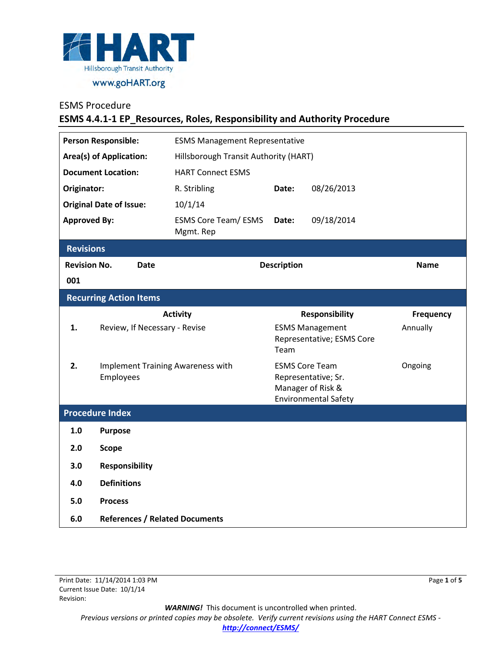

### ESMS Procedure

## **ESMS 4.4.1-1 EP\_Resources, Roles, Responsibility and Authority Procedure**

| <b>Person Responsible:</b>         |                                                | <b>ESMS Management Representative</b>    |                                                                                                  |            |             |  |
|------------------------------------|------------------------------------------------|------------------------------------------|--------------------------------------------------------------------------------------------------|------------|-------------|--|
| <b>Area(s) of Application:</b>     |                                                | Hillsborough Transit Authority (HART)    |                                                                                                  |            |             |  |
| <b>Document Location:</b>          |                                                | <b>HART Connect ESMS</b>                 |                                                                                                  |            |             |  |
| Originator:                        |                                                | R. Stribling                             | Date:                                                                                            | 08/26/2013 |             |  |
| <b>Original Date of Issue:</b>     |                                                | 10/1/14                                  |                                                                                                  |            |             |  |
| <b>Approved By:</b>                |                                                | <b>ESMS Core Team/ ESMS</b><br>Mgmt. Rep | Date:                                                                                            | 09/18/2014 |             |  |
| <b>Revisions</b>                   |                                                |                                          |                                                                                                  |            |             |  |
| <b>Revision No.</b><br><b>Date</b> |                                                | <b>Description</b>                       |                                                                                                  |            | <b>Name</b> |  |
| 001                                |                                                |                                          |                                                                                                  |            |             |  |
| <b>Recurring Action Items</b>      |                                                |                                          |                                                                                                  |            |             |  |
|                                    |                                                | <b>Activity</b>                          | <b>Responsibility</b>                                                                            |            | Frequency   |  |
| 1.                                 | Review, If Necessary - Revise                  |                                          | <b>ESMS Management</b><br>Representative; ESMS Core<br>Team                                      |            | Annually    |  |
| 2.                                 | Implement Training Awareness with<br>Employees |                                          | <b>ESMS Core Team</b><br>Representative; Sr.<br>Manager of Risk &<br><b>Environmental Safety</b> |            | Ongoing     |  |
| <b>Procedure Index</b>             |                                                |                                          |                                                                                                  |            |             |  |
| 1.0                                | <b>Purpose</b>                                 |                                          |                                                                                                  |            |             |  |
| 2.0                                | <b>Scope</b>                                   |                                          |                                                                                                  |            |             |  |
| 3.0                                | <b>Responsibility</b>                          |                                          |                                                                                                  |            |             |  |
| 4.0                                | <b>Definitions</b>                             |                                          |                                                                                                  |            |             |  |
| 5.0                                | <b>Process</b>                                 |                                          |                                                                                                  |            |             |  |
| 6.0                                | <b>References / Related Documents</b>          |                                          |                                                                                                  |            |             |  |

*WARNING!*This document is uncontrolled when printed.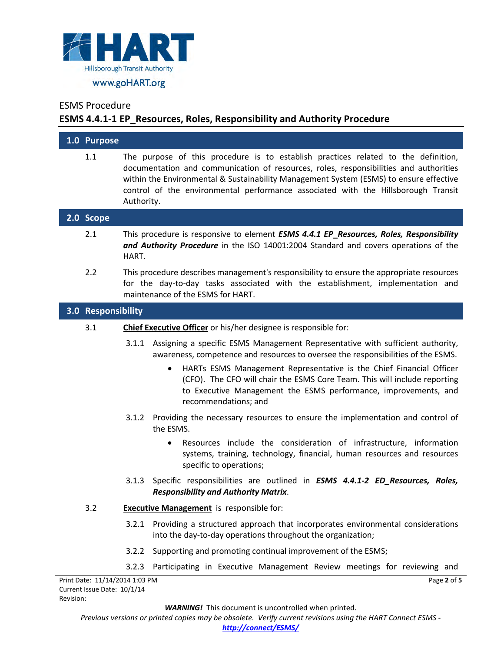

### ESMS Procedure

## **ESMS 4.4.1-1 EP\_Resources, Roles, Responsibility and Authority Procedure**

| 1.0 Purpose                    |                                                 |                                                                                                                                                                                                                                                                                                                                                                                                                                |
|--------------------------------|-------------------------------------------------|--------------------------------------------------------------------------------------------------------------------------------------------------------------------------------------------------------------------------------------------------------------------------------------------------------------------------------------------------------------------------------------------------------------------------------|
| 1.1                            | Authority.                                      | The purpose of this procedure is to establish practices related to the definition,<br>documentation and communication of resources, roles, responsibilities and authorities<br>within the Environmental & Sustainability Management System (ESMS) to ensure effective<br>control of the environmental performance associated with the Hillsborough Transit                                                                     |
| 2.0 Scope                      |                                                 |                                                                                                                                                                                                                                                                                                                                                                                                                                |
| 2.1                            | HART.                                           | This procedure is responsive to element ESMS 4.4.1 EP_Resources, Roles, Responsibility<br>and Authority Procedure in the ISO 14001:2004 Standard and covers operations of the                                                                                                                                                                                                                                                  |
| 2.2                            |                                                 | This procedure describes management's responsibility to ensure the appropriate resources<br>for the day-to-day tasks associated with the establishment, implementation and<br>maintenance of the ESMS for HART.                                                                                                                                                                                                                |
| 3.0 Responsibility             |                                                 |                                                                                                                                                                                                                                                                                                                                                                                                                                |
| 3.1                            |                                                 | Chief Executive Officer or his/her designee is responsible for:                                                                                                                                                                                                                                                                                                                                                                |
|                                | 3.1.1                                           | Assigning a specific ESMS Management Representative with sufficient authority,<br>awareness, competence and resources to oversee the responsibilities of the ESMS.<br>HARTs ESMS Management Representative is the Chief Financial Officer<br>$\bullet$<br>(CFO). The CFO will chair the ESMS Core Team. This will include reporting<br>to Executive Management the ESMS performance, improvements, and<br>recommendations; and |
|                                |                                                 | 3.1.2 Providing the necessary resources to ensure the implementation and control of<br>the ESMS.                                                                                                                                                                                                                                                                                                                               |
|                                |                                                 | Resources include the consideration of infrastructure, information<br>systems, training, technology, financial, human resources and resources<br>specific to operations;                                                                                                                                                                                                                                                       |
|                                |                                                 | 3.1.3 Specific responsibilities are outlined in <b>ESMS 4.4.1-2 ED_Resources, Roles,</b><br><b>Responsibility and Authority Matrix.</b>                                                                                                                                                                                                                                                                                        |
| 3.2                            | <b>Executive Management</b> is responsible for: |                                                                                                                                                                                                                                                                                                                                                                                                                                |
|                                | 3.2.1                                           | Providing a structured approach that incorporates environmental considerations<br>into the day-to-day operations throughout the organization;                                                                                                                                                                                                                                                                                  |
|                                | 3.2.2                                           | Supporting and promoting continual improvement of the ESMS;                                                                                                                                                                                                                                                                                                                                                                    |
|                                | 3.2.3                                           | Participating in Executive Management Review meetings for reviewing and                                                                                                                                                                                                                                                                                                                                                        |
| Print Date: 11/14/2014 1:03 PM |                                                 | Page 2 of 5                                                                                                                                                                                                                                                                                                                                                                                                                    |

*WARNING!*This document is uncontrolled when printed.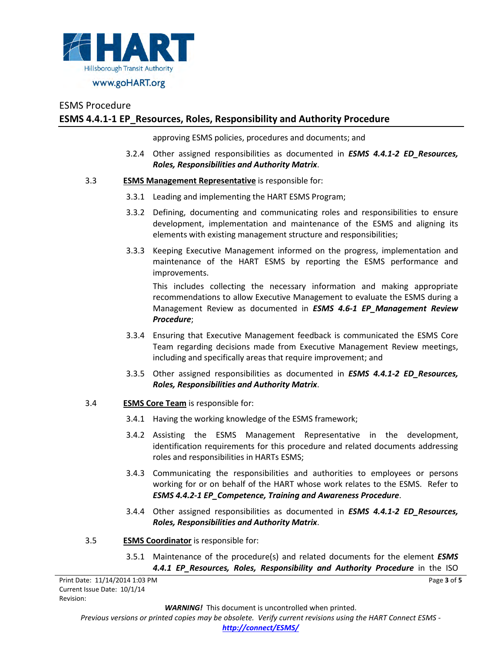

# ESMS Procedure **ESMS 4.4.1-1 EP\_Resources, Roles, Responsibility and Authority Procedure**

approving ESMS policies, procedures and documents; and

3.2.4 Other assigned responsibilities as documented in *ESMS 4.4.1-2 ED\_Resources, Roles, Responsibilities and Authority Matrix*.

#### 3.3 **ESMS Management Representative** is responsible for:

- 3.3.1 Leading and implementing the HART ESMS Program;
- 3.3.2 Defining, documenting and communicating roles and responsibilities to ensure development, implementation and maintenance of the ESMS and aligning its elements with existing management structure and responsibilities;
- 3.3.3 Keeping Executive Management informed on the progress, implementation and maintenance of the HART ESMS by reporting the ESMS performance and improvements.

This includes collecting the necessary information and making appropriate recommendations to allow Executive Management to evaluate the ESMS during a Management Review as documented in *ESMS 4.6-1 EP\_Management Review Procedure*;

- 3.3.4 Ensuring that Executive Management feedback is communicated the ESMS Core Team regarding decisions made from Executive Management Review meetings, including and specifically areas that require improvement; and
- 3.3.5 Other assigned responsibilities as documented in *ESMS 4.4.1-2 ED\_Resources, Roles, Responsibilities and Authority Matrix*.
- 3.4 **ESMS Core Team** is responsible for:
	- 3.4.1 Having the working knowledge of the ESMS framework;
	- 3.4.2 Assisting the ESMS Management Representative in the development, identification requirements for this procedure and related documents addressing roles and responsibilities in HARTs ESMS;
	- 3.4.3 Communicating the responsibilities and authorities to employees or persons working for or on behalf of the HART whose work relates to the ESMS. Refer to *ESMS 4.4.2-1 EP\_Competence, Training and Awareness Procedure*.
	- 3.4.4 Other assigned responsibilities as documented in *ESMS 4.4.1-2 ED\_Resources, Roles, Responsibilities and Authority Matrix*.
- 3.5 **ESMS Coordinator** is responsible for:
	- 3.5.1 Maintenance of the procedure(s) and related documents for the element *ESMS 4.4.1 EP\_Resources, Roles, Responsibility and Authority Procedure* in the ISO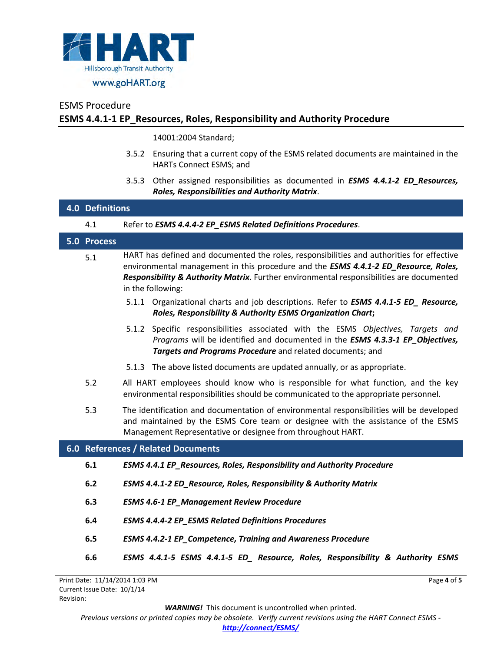

# ESMS Procedure **ESMS 4.4.1-1 EP\_Resources, Roles, Responsibility and Authority Procedure**

14001:2004 Standard;

- 3.5.2 Ensuring that a current copy of the ESMS related documents are maintained in the HARTs Connect ESMS; and
- 3.5.3 Other assigned responsibilities as documented in *ESMS 4.4.1-2 ED\_Resources, Roles, Responsibilities and Authority Matrix*.

|                                    |             | <b>4.0 Definitions</b>                                                                                                                                                                                                                                                                            |  |  |  |  |
|------------------------------------|-------------|---------------------------------------------------------------------------------------------------------------------------------------------------------------------------------------------------------------------------------------------------------------------------------------------------|--|--|--|--|
|                                    | 4.1         | Refer to ESMS 4.4.4-2 EP_ESMS Related Definitions Procedures.                                                                                                                                                                                                                                     |  |  |  |  |
|                                    | 5.0 Process |                                                                                                                                                                                                                                                                                                   |  |  |  |  |
|                                    | 5.1         | HART has defined and documented the roles, responsibilities and authorities for effective<br>environmental management in this procedure and the ESMS 4.4.1-2 ED_Resource, Roles,<br>Responsibility & Authority Matrix. Further environmental responsibilities are documented<br>in the following: |  |  |  |  |
|                                    |             | 5.1.1 Organizational charts and job descriptions. Refer to <b>ESMS 4.4.1-5 ED_ Resource,</b><br>Roles, Responsibility & Authority ESMS Organization Chart;                                                                                                                                        |  |  |  |  |
|                                    |             | Specific responsibilities associated with the ESMS Objectives, Targets and<br>5.1.2<br>Programs will be identified and documented in the ESMS 4.3.3-1 EP_Objectives,<br>Targets and Programs Procedure and related documents; and                                                                 |  |  |  |  |
|                                    |             | 5.1.3 The above listed documents are updated annually, or as appropriate.                                                                                                                                                                                                                         |  |  |  |  |
|                                    | 5.2         | All HART employees should know who is responsible for what function, and the key<br>environmental responsibilities should be communicated to the appropriate personnel.                                                                                                                           |  |  |  |  |
|                                    | 5.3         | The identification and documentation of environmental responsibilities will be developed<br>and maintained by the ESMS Core team or designee with the assistance of the ESMS<br>Management Representative or designee from throughout HART.                                                       |  |  |  |  |
| 6.0 References / Related Documents |             |                                                                                                                                                                                                                                                                                                   |  |  |  |  |
|                                    | 6.1         | <b>ESMS 4.4.1 EP_Resources, Roles, Responsibility and Authority Procedure</b>                                                                                                                                                                                                                     |  |  |  |  |
|                                    | 6.2         | ESMS 4.4.1-2 ED_Resource, Roles, Responsibility & Authority Matrix                                                                                                                                                                                                                                |  |  |  |  |
|                                    | 6.3         | <b>ESMS 4.6-1 EP_Management Review Procedure</b>                                                                                                                                                                                                                                                  |  |  |  |  |
|                                    | 6.4         | <b>ESMS 4.4.4-2 EP_ESMS Related Definitions Procedures</b>                                                                                                                                                                                                                                        |  |  |  |  |
|                                    | 6.5         | <b>ESMS 4.4.2-1 EP_Competence, Training and Awareness Procedure</b>                                                                                                                                                                                                                               |  |  |  |  |
|                                    | 6.6         | ESMS 4.4.1-5 ESMS 4.4.1-5 ED_ Resource, Roles, Responsibility & Authority ESMS                                                                                                                                                                                                                    |  |  |  |  |

*WARNING!*This document is uncontrolled when printed.